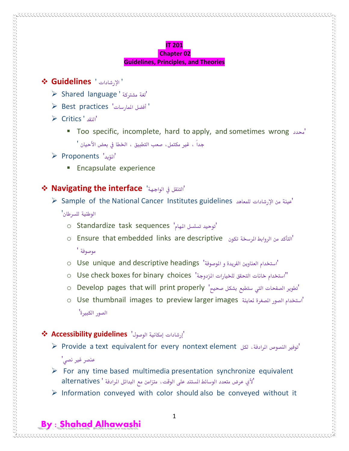#### **IT 201 Chapter 02**

### **Guidelines, Principles, and Theories**

### **Guidelines** ' اإلرشادات'

- Shared language ' مشرتكة لغة'
- Best practices 'املمارسات أفضل'
- Critics ' النقد'
	- Too specific, incomplete, hard to apply, and sometimes wrong حمدد' جداً ، غير مكتمل، صعب التطبيق ، الخطا في بعض الأحيان '

# Proponents 'املؤيد'

**Encapsulate experience** 

# **Navigating the interface** 'الواجهة يف التنقل'

Sample of the National Cancer Institutes guidelines للمعاهد اإلرشادات من عينة'

### الوطنية للسرطان'

- o Standardize task sequences 'توحيد تسلسل المهام'
- o Ensure that embedded links are descriptive "التأكد من الروابط المرسخة تكون موصوفة '
- o Use unique and descriptive headings 'استخدام العناوين الفريدة و الموصوفة'
- o Use check boxes for binary choices 'املزدوجة للخيارات التحقق خانات استخدام''
- o Develop pages that will print properly 'تطوير الصفحات التي ستطبع بشكل صحيح'
- o Use thumbnail images to preview larger images ماستخدام الصور المفرة لماينة الصور الكبرية'

# 'إرشادات إمكانية الوصول' **guidelines Accessibility**

- Provide a text equivalent for every nontext element لكل ،املرادفة النصوص توفري' عنصر غير نصي'
- $\triangleright$  For any time based multimedia presentation synchronize equivalent 'ألي عرض متعدد الوسائط املستند على الوقت، متزامن مع البدائل املرادفة ' alternatives
- $\triangleright$  Information conveyed with color should also be conveyed without it

1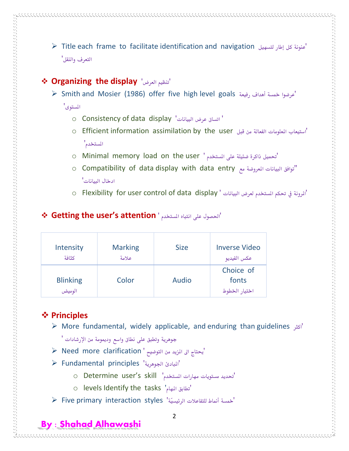Title each frame to facilitate identification and navigation لتسهيل إطار كل عنونة' التعرف والنقل'

# **Organizing the display** 'العرض تنظيم'

 Smith and Mosier (1986) offer five high level goals رفيعة أهداف مخسة عرضوا' المستوى'

- o Consistency of data display 'البيانات عرض اتساق'
- o Efficient information assimilation by the user أستيعاب المعلومات الفعالة من قبل املستخدم'
- o Minimal memory load on the user ' تحميل ذاكرة ضئيلة على المستخدم'
- o Compatibility of data display with data entry "توافق البيانات المعروضة مع البيانات المعروضة البيانات العروضة ادخال البيانات'
- o Flexibility for user control of data display 'المرونة في تحكم المستخدم لعرض البيانات '

### **Getting the user's attention** ' املستخدم انتباه على احلصول'

| Intensity                 | <b>Marking</b> | <b>Size</b> | <b>Inverse Video</b>                |
|---------------------------|----------------|-------------|-------------------------------------|
| كثافة                     | علامة          |             | عكس الفيديو                         |
| <b>Blinking</b><br>الوميض | Color          | Audio       | Choice of<br>fonts<br>اختيار الخطوط |

# **Principles**

- More fundamental, widely applicable, and enduring than guidelines اكثر'
	- جوهرية وتطبق على نطاق واسع ودميومة من اإلرشادات '
- $\triangleright$  Need more clarification ' حيتاج الى المزيد من التوضيح
- Fundamental principles 'اجلوهرية املبادئ'
	- o Determine user's skill 'املستخدم مهارات مستويات حتديد'
	- o levels Identify the tasks 'املهام تطابق'
- 'مخسة أمناط للتفاعالت الرئيسيّة' styles interaction primary Five

# **By : Shahad Alhawashi**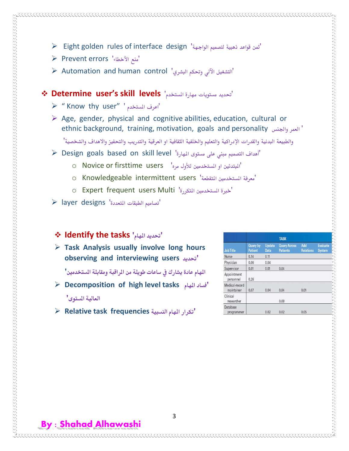- Eight golden rules of interface design 'الواجهة لتصميم ذهبية قواعد مثن'
- Prevent errors 'األخطاء منع'
- Automation and human control 'البشري وحتكم اآللي التشغيل'

# **Determine user's skill levels** 'املستخدم مهارة مستويات حتديد'

- $\triangleright$  " Know thy user" ' اعرف المستخدم'
- $\triangleright$  Age, gender, physical and cognitive abilities, education, cultural or ethnic background, training, motivation, goals and personality واجلنس العمر'

والطبيعة البدنية والقدرات اإلدراكية والتعليم واخللفية الثقافية او العرقية والتدريب والتحفيز واالهداف والشخصية'

- Design goals based on skill level 'املهارة مستوى على مبين التصميم أهداف'
	- $\circ$  Novice or firsttime users 'المبتدئين او المستخدمين للأول مره' "u
	- o Knowledgeable intermittent users 'معرفة المستخدمين المتقطعة' O
	- o Expert frequent users Multi 'خبرة المستخدمين المتكررة'
- $\triangleright$  layer designs 'تصاميم الطبقات المتعددة'

### **Identify the tasks 'املهام حتديد'**

 **Task Analysis usually involve long hours observing and interviewing users حتديد'**

**املهام عادة يشارك يف ساعات طويلة من املراقبة ومقابلة املستخدمني'**

- **Decomposition of high level tasks املهام فساد' العالية املستوى'**
- **Relative task frequencies السسبية املهام تكرار'**

|                              |                                   |                       | <b>TASK</b>                            |                         |                                  |
|------------------------------|-----------------------------------|-----------------------|----------------------------------------|-------------------------|----------------------------------|
| <b>Job Title</b>             | <b>Query by</b><br><b>Patient</b> | <b>Update</b><br>Data | <b>Query Across</b><br><b>Patients</b> | Add<br><b>Relations</b> | <b>Evaluate</b><br><b>System</b> |
| Nurse                        | 0.14                              | 0.11                  |                                        |                         |                                  |
| Physician                    | 0.06                              | 0.04                  |                                        |                         |                                  |
| Supervisor                   | 0.01                              | 0.01                  | 0.04                                   |                         |                                  |
| Appointment<br>personnel     | 0.26                              |                       |                                        |                         |                                  |
| Medical-record<br>maintainer | 0.07                              | 0.04                  | 0.04                                   | 0.01                    |                                  |
| Clinical<br>researcher       |                                   |                       | 0.08                                   |                         |                                  |
| Database<br>programmer       |                                   | 0.02                  | 0.02                                   | 0.05                    |                                  |

 $\sim$  . The construction of the construction of the construction of the construction of the construction of the construction of the construction of the construction of the construction of the construction of the constructi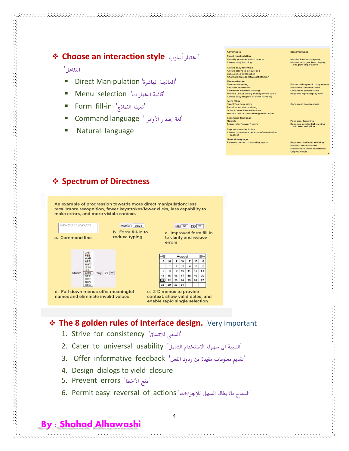# **Choose an interaction style** سلوبُا اختيار'

#### التفاعل'

- Direct Manipulation 'املباشرة املعاجلة'
- Menu selection 'اخليارات قائمة'
- Form fill-in 'تعبئة النماذج'
- 'لغة إصدار األوامر ' language Command
- Natural language

| <b>Advantages</b>                                    | <b>Disadvantages</b>                                 |
|------------------------------------------------------|------------------------------------------------------|
| <b>Direct manipulation</b>                           |                                                      |
| <b>Visually presents task concepts</b>               | May be hard to program                               |
| Allows easy learning                                 | May require graphics display<br>and pointing devices |
| Allows easy retention                                |                                                      |
| Allows errors to be avoided                          |                                                      |
| <b>Encourages exploration</b>                        |                                                      |
| Affords high subjective satisfaction                 |                                                      |
| <b>Menu</b> selection                                |                                                      |
| <b>Shortens learning</b>                             | Presents danger of many mer                          |
| <b>Reduces keystrokes</b>                            | May slow frequent users                              |
| <b>Structures decision making</b>                    | Consumes screen space                                |
| Permits use of dialog-management tools               | Requires rapid display rate                          |
| Allows easy support of error handling                |                                                      |
| Form fill-in                                         |                                                      |
| Simplifies data entry                                | Consumes screen space                                |
| <b>Requires modest training</b>                      |                                                      |
| Gives convenient assistance                          |                                                      |
| Permits use of form-management tools                 |                                                      |
| <b>Command language</b>                              |                                                      |
| Flexible                                             | Poor error handling                                  |
| Appeals to "power" users                             | Requires substantial training<br>and memorization    |
| <b>Supports user initiative</b>                      |                                                      |
| Allows convenient creation of user-defined<br>macros |                                                      |
| <b>Natural language</b>                              |                                                      |
| Relieves burden of learning syntax                   | <b>Requires clarification dialog</b>                 |
|                                                      | May not show context                                 |
|                                                      | May require more keystrokes                          |
|                                                      | <b>Unpredictable</b>                                 |

# **Spectrum of Directness**

An example of progression towards more direct manipulation: less recall/more recognition, fewer keystrokes/fewer clicks, less capability to make errors, and more visible context.





d. Pull-down menus offer meaningful names and eliminate invalid values

OCT<br>NOV

Month



MM 08 DD 21



context, show valid dates, and enable rapid single selection

# **The 8 golden rules of interface design.** Very Important

- 1. Strive for consistency 'السعي للاتساق'
- 1 Iulius التلبية الى سهولة الاستخدام الشامل' 2. Cater to universal usability
- 'تقديم معلومات مفيدة من ردود الفعل' feedback informative Offer 3.
- 4. Design dialogs to yield closure
- 5. Prevent errors 'منع الأخطا
- 6. Permit easy reversal of actions 'السماح بالابطال السهل للإجراءات'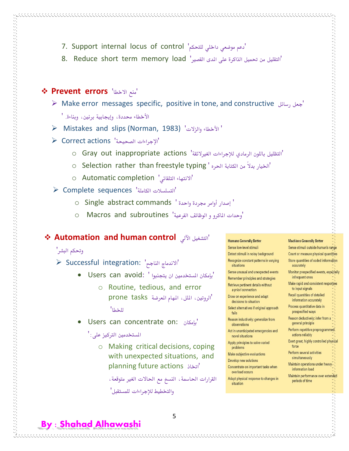- 7. Support internal locus of control 'دعم موضعي داخلي للتحكم'
- 'التقليل من حتميل الذاكرة على املدى القصري' load memory term short Reduce 8.
- **Prevent errors** 'االخطا منع'
	- Make error messages specific, positive in tone, and constructive رسائل جعل' األخطاء حمددة، وإجيابية برنني، وبناءة. '
	- Mistakes and slips (Norman, 1983) 'والزالت األخطاء'
	- Correct actions 'الصحيحة اإلجراءات'
		- 'التظليل باللون الرمادي لإلجراءات الغريالئقة' actions inappropriate out Gray o
		- o Selection rather than freestyle typing ' الخيار بدلاً من الكتابة الحره'
		- o Automatic completion 'التلقائي االنتهاء'
	- Complete sequences 'الكاملة التسلسالت'
		- ' إصدار أوامر جمردة واحدة ' commands abstract Single o
		- 'وحدات املاكرو و الوظائف الفرعية' subroutines and Macros o

### **Automation and human control** اآللي التشغيل'

#### وحتكم البشر'

- $\triangleright$  Successful integration: 'الاندماج الناجح'
	- $\bullet$  Users can avoid: 'بإمكان المستخدمين ان يتجنبوا ''
		- o Routine, tedious, and error 'الروتني، امللل، املهام املعرضة tasks prone للخطا'
	- Users can concentrate on: بإمكان'

#### المستخدمين التركيز على: '

- o Making critical decisions, coping with unexpected situations, and planning future actions اختاذ'
	- القرارات الحاسمة، النسخ مع الحالات الغير متوقعة، والتخطيط لإلجراءات للمستقبل'

#### **Humans Generally Better**

#### Sense low-level stimuli Detect stimuli in noisy background Recognize constant patterns in varying situations Sense unusual and unexpected events Remember principles and strategies Retrieve pertinent details without a priori connection Draw on experience and adapt decisions to situation Select alternatives if original approach fails Reason inductively: generalize from observations Act in unanticipated emergencies and novel situations Apply principles to solve varied problems Make subjective evaluations

- Develop new solutions
- Concentrate on important tasks when overload occurs
- Adapt physical response to changes in situation

### **Machines Generally Better**

| ense stimuli outside human's range                                |                  |
|-------------------------------------------------------------------|------------------|
| ount or measure physical quantities                               |                  |
| tore quantities of coded information<br>accurately                |                  |
| <b>Monitor prespecified events, especially</b><br>infrequent ones |                  |
| lake rapid and consistent responses<br>to input signals           | Ġ,<br>ò,         |
| lecall quantities of detailed<br>information accurately           | 5<br>5<br>5      |
| rocess quantitative data in<br>prespecified ways                  | N<br>5<br>Ŋ<br>Ŋ |
| leason deductively: infer from a<br>general principle             | S<br>Ŋ<br>S<br>Ŋ |
| erform repetitive preprogrammed<br>actions reliably               | Ŋ<br>5           |
| xert great, highly controlled physical<br>force                   | ò,<br>5          |
| erform several activities<br>simultaneously                       | Ŋ<br>Ŋ<br>5      |
| Maintain operations under heavy<br>information load               | Ġ,               |
| .<br>Maintain performance over extended<br>periods of time        | Ŷ,               |
|                                                                   | ч,<br>5<br>Š,    |
|                                                                   |                  |

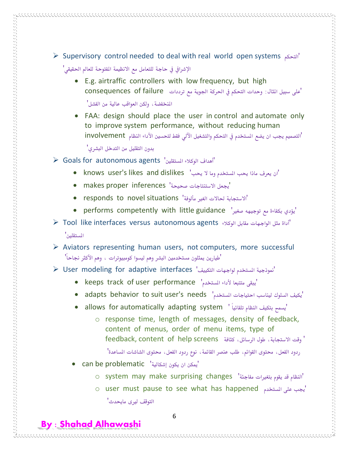- E.g. airtraffic controllers with low frequency, but high 'على سبيل الثال: وحدات التحكم في الحركة الجوية مع ترددات consequences of failure املنخفضة، ولكن العواقب عالية من الفشل'
- FAA: design should place the user in control and automate only to improve system performance, without reducing human 'التصميم يجب ان يضع المستخدم في التحكم والتشغيل الآلي فقط لتحسين الأداء النظام involvement

بدون التقليل من التدخل البشري'

- Goals for autonomous agents 'املستقلني الوكالء أهداف'
	- 'ان يعرف ماذا حيب املستخدم وما ال حيب' dislikes and likes s'user knows
	- makes proper inferences 'يجعل الاستنتاجات صحيحة'
	- responds to novel situations 'مألوفة الغري حلاالت االستجابة'
	- performs competently with little guidance 'صغري توجيهه مع بكفاءة يؤدي'
- Tool like interfaces versus autonomous agents الوكالء مقابل الواجهات مثل أداة' املستقلني'
- $\triangleright$  Aviators representing human users, not computers, more successful 'طيارين ميثلون مستخدمني البشر وهم ليسوا كومبيوترات ، وهم األكثر جناحاً'
- $\triangleright$  User modeling for adaptive interfaces 'نموذجية المستخدم لواجهات التكييف'
	- keeps track of user performance 'يبقى متتبعا لأداء المستخدم'
	- adapts behavior to suit user's needs 'املستخدم احتياجات ليناسب السلوك يكيف'
	- allows for automatically adapting system ' يسمح بتكيف النظام تلقائياً
		- o response time, length of messages, density of feedback, content of menus, order of menu items, type of ' وقت االستجابة، طول الرسائل، كثافة screens help of content ,feedback

ردود الفعل، حمتوى القوائم، طلب عنصر القائمة، نوع ردود الفعل، حمتوى الشاشات املساعدة'

'يمكن ان يكون إشكالية' can be problematic

**By : Shahad Alhawashi**

- $\circ$  system may make surprising changes 'ألنظام قد يقوم بتغيرات مفاجئة'
- o user must pause to see what has happened املستخدم على جيب' التوقف ليرى مايحدث'

6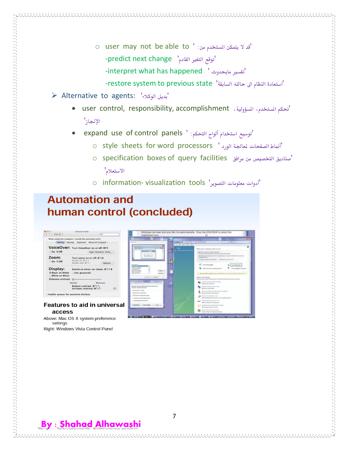- o user may not be able to ' :من املستخدم يتمكن ال قد' -predict next change | توقع التغير القادم' -interpret what has happened ' ماحيدوث تفسري'
	- 'استعادة النظام اىل حالته السابقة' state previous to system restore-
- Alternative to agents: 'الوكالء بديل'
	- user control, responsibility, accomplishment ،املسؤولية ،املستخدم حتكم' اإلجناز'
	- expand use of control panels ' :التحكم ألواح استخدام توسيع'
		- o style sheets for word processors ' أنماط الصفحات لمعالجة الورد '
		- o specification boxes of query facilities مرافق من التخصيص صناديق' االستعالم'
		- o information- visualization tools 'التصوير معلومات أدوات'

# **Automation and** human control (concluded)



access Above: Mac OS X system preference settings

Right: Windows Vista Control Panel

 $\leftarrow$   $\leftarrow$   $\leftarrow$   $\leftarrow$   $\leftarrow$   $\leftarrow$   $\leftarrow$   $\leftarrow$   $\leftarrow$ 

Zoom: on eof

Display:

**Black on White**<br>White on Black ince contrast

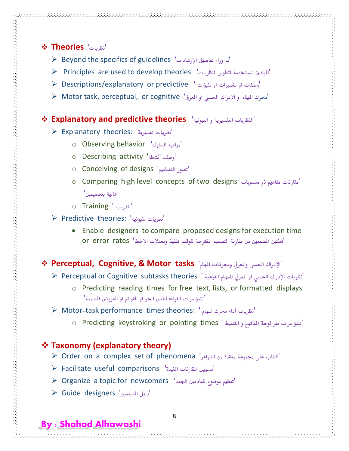# **Theories** 'نظريات'

- $\triangleright$  Beyond the specifics of guidelines 'ما وراء تفاصيل الإرشادات'
- Principles are used to develop theories 'النظريات لتطوير املستخدمة املبادئ'
- 'وصفات او تفسريات او تنبؤات ' predictive or explanatory/Descriptions
- $\blacktriangleright$  Motor task, perceptual, or cognitive محرك المهام او الإدراك الحسى او المعرفي

### **Explanatory and predictive theories** 'التبوئية و التفسريية النظريات'

- Explanatory theories: 'تفسريية نظريات'
	- o Observing behavior 'السلوك مراقبة'
	- o Describing activity 'أوصف أنشطة
	- o Conceiving of designs 'التصاميم تصور'
	- o Comparing high level concepts of two designs مقارنات مفاهيم ذو مستويات عالية بتصميمني'
	- o Training ' تدريب'

 $\sim$  . The construction of the construction of the construction of the construction of the construction of the construction of the construction of the construction of the construction of the construction of the constructi

- Predictive theories: 'تنبوئية نظريات'
	- Enable designers to compare proposed designs for execution time 'تمكين المصمين من مقارنة التصميم المقترحة للوقت تنفيذ ومعدلات الاخطا' Or error rates

# 'اإلدراك احلسي واملعريف وحمركات املهام' **tasks Motor & ,Cognitive ,Perceptual**

- 'نظريات اإلدراك احلسي او املعريف للمهام الفرعية ' theories subtasks Cognitive or Perceptual
	- o Predicting reading times for free text, lists, or formatted displays 'تنبؤ مرات القراءه للنص احلر او القوائم او العروض املصممة'
- Motor-task performance times theories: ' املهام حمرك أداء نظريات'
	- 'تنبؤ مرات نقر لوحة املفاتيح و التنقيط ' times pointing or keystroking Predicting o

### **Taxonomy (explanatory theory)**

- Order on a complex set of phenomena 'الظواهر من معقدة جمموعة على الطلب'
- Facilitate useful comparisons 'املفيدة املقارنات تسهيل'
- Organize a topic for newcomers 'اجلدد للقادمني موضوع تنظيم'
- $\triangleright$  Guide designers 'دليل المصممين'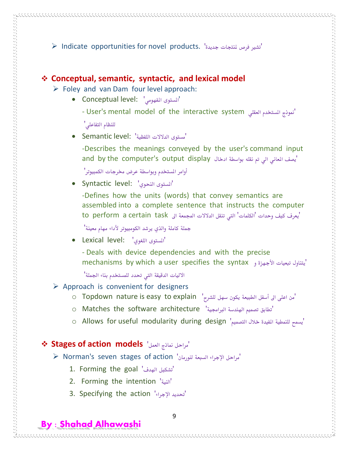Indicate opportunities for novel products. 'جديدة ملنتجات فرص تشري'

### **Conceptual, semantic, syntactic, and lexical model**

- $\triangleright$  Foley and van Dam four level approach:
	- Conceptual level: 'املفهومي املستوى'
		- User's mental model of the interactive system المعقلي المستخدم العقلي المعتقلي المعتقلي المعتقلي المستخدم العقلي

للنظام التفاعلي'

 $\sim$  . The construction of the construction of the construction of the construction of the construction of the construction of the construction of the construction of the construction of the construction of the constructi

'مستوى الدالالت اللفظية' :level Semantic

-Describes the meanings conveyed by the user's command input and by the computer's output display أيصف المعاني الى تم نقله بواسطة ادخال

أوامر المستخدم وبواسطة عرض مخرجات الكمبيوتر'

Syntactic level: 'النحوي املستوى'

-Defines how the units (words) that convey semantics are assembled into a complete sentence that instructs the computer 'يعرف كيف وحدات 'الكلمات' التي تنقل الدلالات المجمعة الى to perform a certain task

مجلة كاملة والذي يرشد الكومبيوتر ألداء مهام معينة'

- Lexical level: 'اللغوي املستوى'
	- Deals with device dependencies and with the precise mechanisms by which a user specifies the syntax يتناول تبعيات الأجهزة و

الاليات الدقيقة التي تحدد للمستخدم بناء الجملة'

- $\triangleright$  Approach is convenient for designers
	- o Topdown nature is easy to explain 'من اعلى الى أسفل الطبيعة يكون سهل للشرح'
	- o Matches the software architecture 'الرباجمية اهلندسة تصميم تطابق'
	- o Allows for useful modularity during design 'يسمح للنمطية المفيدة خلال التصميم'

### **Stages of action models** 'العمل مناذج مراحل'

- $\triangleright$  Norman's seven stages of action 'مراحل الإجراء السبعة لنورمان'
	- 1. Forming the goal 'تشكيل الهدف'
	- 2. Forming the intention 'النية'
	- 3. Specifying the action 'تحديد الإجراء'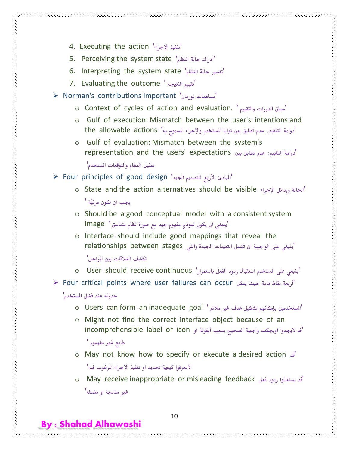- 4. Executing the action 'اإلجراء تنفيذ'
- 5. Perceiving the system state 'ادراك حالة النظام'
- 6. Interpreting the system state 'نفسير حالة النظام'
- 7. Evaluating the outcome ' تقييم النتيجة'
- $\triangleright$  Norman's contributions Important 'ساهمات نورمان'
	- o Context of cycles of action and evaluation. ' والتقييم الدورات سياق'
	- o Gulf of execution: Mismatch between the user's intentions and 'دوامة التنفيذ: عدم تطابق بين نوايا المستخدم والإجراء المسموح به' the allowable actions
	- o Gulf of evaluation: Mismatch between the system's 'دوامة التقييم: عدم تطابق بني expectations' users the and representation

متثيل النظام والتوقعات املستخدم'

- $\triangleright$  Four principles of good design 'المبادئ الأربع للتصميم الجيد'
	- o State and the action alternatives should be visible اإلجراء وبدائل احلالة' جيب ان تكون مرئيّة '
	- o Should be a good conceptual model with a consistent system 'ينبغي ان يكون منوذج مفهوم جيد مع صورة نظام متناسق ' image
	- o Interface should include good mappings that reveal the 'ينبغي على الواجهة ان تشمل التعينات الجيدة والتي relationships between stages

تكشف العالقات بني املراحل'

- 'ينبغي على املستخدم استقبال ردود الفعل باستمرار' continuous receive should User o
- Four critical points where user failures can occur ميكن حيث هامة نقاط أربعة'

حدوثه عند فشل المستخدم<sup>'</sup>

 $\sim$  , and the construction of the construction of the construction of the construction of the construction of the construction of the construction of the construction of the construction of the construction of the constr

**By : Shahad Alhawashi**

- o Users can form an inadequate goal ' المستخدمين بإمكانهم تشكيل هدف غير ملائم
- o Might not find the correct interface object because of an 'قد الجيدوا اوجبكت واجهة الصحيح بسبب أيقونة او icon or label incomprehensible طابع غير مفهموم '
- o May not know how to specify or execute a desired action قد' اليعرفوا كيفية حتديد او تنفيذ اإلجراء املرغوب فيه'
- o May receive inappropriate or misleading feedback فعل ردود يستقبلوا قد' غري مناسبة او مضللة'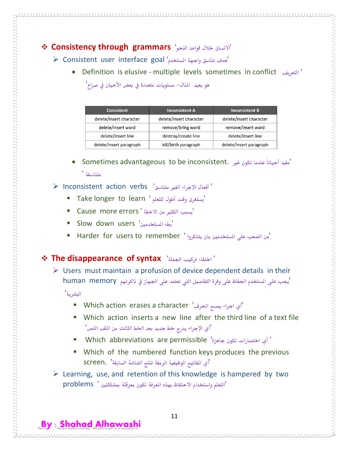# 'االتساق خالل قواعد النحو' **grammars through Consistency**

 $\triangleright$  Consistent user interface goal 'مدف تناسق واجهة المستخدم

Definition is elusive - multiple levels sometimes in conflict التعريف'

هو بعيد المنال– مستويات متعددة في بعض الأحيان في صراع'

| <b>Consistent</b>       | <b>Inconsistent A</b>   | <b>Inconsistent B</b>   |
|-------------------------|-------------------------|-------------------------|
| delete/insert character | delete/insert character | delete/insert character |
| delete/insert word      | remove/bring word       | remove/insert word      |
| delete/insert line      | destroy/create line     | delete/insert line      |
| delete/insert paragraph | kill/birth paragraph    | delete/insert paragraph |

 Sometimes advantageous to be inconsistent. غري تكون عندما ًأحيانا مفيد' متناسقة '

### ' أفعال اإلجراء الغري متناسق' verbs action Inconsistent

- Take longer to learn ' للتعلم أطول وقت يستغرق'
- 'يسبب الكثري من االخطا ' errors more Cause
- Slow down users 'املستخدمني بطء'
- 'من الصعب على المستخدمين بان يتذكروا ' Harder for users to remember '

### **The disappearance of syntax** 'اجلملة تركيب اختفاء'

 $\triangleright$  Users must maintain a profusion of device dependent details in their <sup>'</sup>يجب على المستخدم الحفاظ على وفرة التفاصيل التي تعتمد على الجهاز في ذاكرتهم human memory

البشرية'

**By : Shahad Alhawashi**

- Which action erases a character "اي اجراء يمسح الحرف"
- Which action inserts a new line after the third line of a text file 'أي اإلجراء يدرج خط جديد بعد اخلط الثالث من امللف النص'
- Which abbreviations are permissible 'جاهزة تكون اختصارات أي'
- Which of the numbered function keys produces the previous 'أي املفاتيح الوظيفية املرمقة تنتج الشاشة السابقة' .screen
- $\triangleright$  Learning, use, and retention of this knowledge is hampered by two 'التعلم واستخدام االحتفاظ بهذه املعرفة تكون معرقلة مبشكلتني ' problems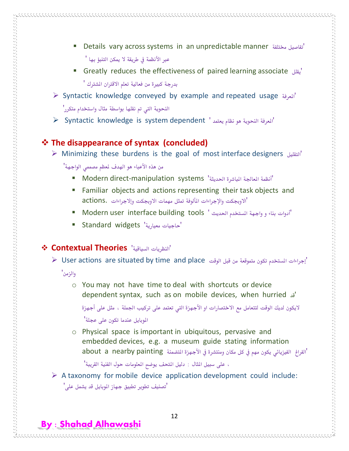- Details vary across systems in an unpredictable manner خمتلفة تفاصيل' عبر الأنظمة في طريقة لا يمكن التنبؤ بها '
- Greatly reduces the effectiveness of paired learning associate يقلل' بدرجة كبيرة من فعالية تعلم الاقتران الشترك '
- Syntactic knowledge conveyed by example and repeated usage املعرفة' النحوية اليت مت نقلها بواسطة مثال واستخدام متكرر'
- $\triangleright$  Syntactic knowledge is system dependent ' المعرفة النحوية هو نظام يعتمد'

# **The disappearance of syntax (concluded)**

Minimizing these burdens is the goal of most interface designers التقليل'

من هذه الأعباء هو الهدف لمعظم مصممي الواجهة'

- Modern direct-manipulation systems 'احلديثة املباشرة املعاجلة أنظمة'
- Familiar objects and actions representing their task objects and 'االوجبكت واإلجراءات املألوفة متثل مهمات االوجبكت وإالجراءات .actions
- 'أدوات بناء و واجهة املستخدم احلديث ' tools building interface user Modern
- Standard widgets 'معيارية حاجيات'

# **Contextual Theories** 'السياقية النظريات'

 $\blacktriangleright$  User actions are situated by time and place الوقت "

والزمن'

**By : Shahad Alhawashi**

o You may not have time to deal with shortcuts or device dependent syntax, such as on mobile devices, when hurried قد'

لايكون لديك الوقت لتتعامل مع الاختصارات او الأجهزة التي تعتمد على تركيب الجملة ، مثل على أجهزة املوبايل عندما تكون على عجلة'

o Physical space is important in ubiquitous, pervasive and embedded devices, e.g. a museum guide stating information 'الفراغ الفيزيائي يكون مهم في كل مكان ومنتشرة في الأجهزة المتضمنة about a nearby painting

، على سبيل املثال : دليل املتحف يوضح املعلومات حول الفنية القريبة'

 $\triangleright$  A taxonomy for mobile device application development could include: 'تصنيف تطوير تطبيق جهاز املوبايل قد يشمل على'